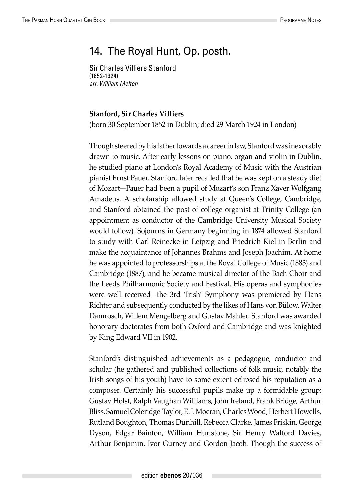## 14. The Royal Hunt, Op. posth.

Sir Charles Villiers Stanford (1852-1924) *arr. William Melton*

## **Stanford, Sir Charles Villiers**

(born 30 September 1852 in Dublin; died 29 March 1924 in London)

Though steered by his father towards a career in law, Stanford was inexorably drawn to music. After early lessons on piano, organ and violin in Dublin, he studied piano at London's Royal Academy of Music with the Austrian pianist Ernst Pauer. Stanford later recalled that he was kept on a steady diet of Mozart—Pauer had been a pupil of Mozart's son Franz Xaver Wolfgang Amadeus. A scholarship allowed study at Queen's College, Cambridge, and Stanford obtained the post of college organist at Trinity College (an appointment as conductor of the Cambridge University Musical Society would follow). Sojourns in Germany beginning in 1874 allowed Stanford to study with Carl Reinecke in Leipzig and Friedrich Kiel in Berlin and make the acquaintance of Johannes Brahms and Joseph Joachim. At home he was appointed to professorships at the Royal College of Music (1883) and Cambridge (1887), and he became musical director of the Bach Choir and the Leeds Philharmonic Society and Festival. His operas and symphonies were well received—the 3rd 'Irish' Symphony was premiered by Hans Richter and subsequently conducted by the likes of Hans von Bülow, Walter Damrosch, Willem Mengelberg and Gustav Mahler. Stanford was awarded honorary doctorates from both Oxford and Cambridge and was knighted by King Edward VII in 1902.

Stanford's distinguished achievements as a pedagogue, conductor and scholar (he gathered and published collections of folk music, notably the Irish songs of his youth) have to some extent eclipsed his reputation as a composer. Certainly his successful pupils make up a formidable group: Gustav Holst, Ralph Vaughan Williams, John Ireland, Frank Bridge, Arthur Bliss, Samuel Coleridge-Taylor, E. J. Moeran, Charles Wood, Herbert Howells, Rutland Boughton, Thomas Dunhill, Rebecca Clarke, James Friskin, George Dyson, Edgar Bainton, William Hurlstone, Sir Henry Walford Davies, Arthur Benjamin, Ivor Gurney and Gordon Jacob. Though the success of